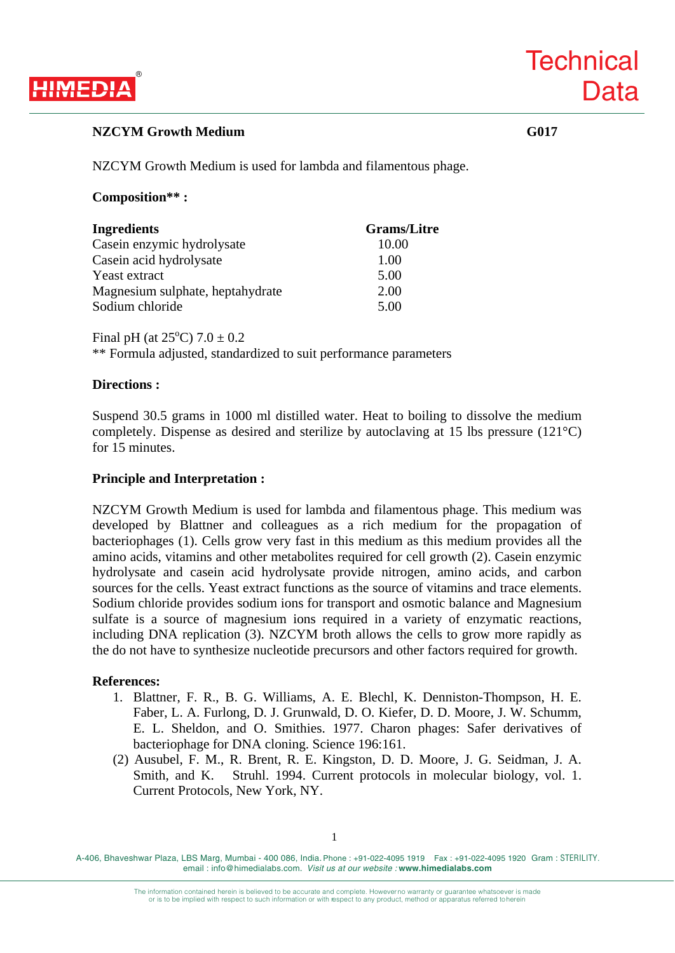

## **NZCYM Growth Medium G017**

**Technical** 

**Data** 

NZCYM Growth Medium is used for lambda and filamentous phage.

## **Composition\*\* :**

| <b>Ingredients</b>               | <b>Grams/Litre</b> |
|----------------------------------|--------------------|
| Casein enzymic hydrolysate       | 10.00              |
| Casein acid hydrolysate          | 1.00               |
| Yeast extract                    | 5.00               |
| Magnesium sulphate, heptahydrate | 2.00               |
| Sodium chloride                  | 5.00               |

Final pH (at  $25^{\circ}$ C)  $7.0 \pm 0.2$ 

\*\* Formula adjusted, standardized to suit performance parameters

### **Directions :**

Suspend 30.5 grams in 1000 ml distilled water. Heat to boiling to dissolve the medium completely. Dispense as desired and sterilize by autoclaving at 15 lbs pressure (121°C) for 15 minutes.

## **Principle and Interpretation :**

NZCYM Growth Medium is used for lambda and filamentous phage. This medium was developed by Blattner and colleagues as a rich medium for the propagation of bacteriophages (1). Cells grow very fast in this medium as this medium provides all the amino acids, vitamins and other metabolites required for cell growth (2). Casein enzymic hydrolysate and casein acid hydrolysate provide nitrogen, amino acids, and carbon sources for the cells. Yeast extract functions as the source of vitamins and trace elements. Sodium chloride provides sodium ions for transport and osmotic balance and Magnesium sulfate is a source of magnesium ions required in a variety of enzymatic reactions, including DNA replication (3). NZCYM broth allows the cells to grow more rapidly as the do not have to synthesize nucleotide precursors and other factors required for growth.

### **References:**

- 1. Blattner, F. R., B. G. Williams, A. E. Blechl, K. Denniston-Thompson, H. E. Faber, L. A. Furlong, D. J. Grunwald, D. O. Kiefer, D. D. Moore, J. W. Schumm, E. L. Sheldon, and O. Smithies. 1977. Charon phages: Safer derivatives of bacteriophage for DNA cloning. Science 196:161.
- (2) Ausubel, F. M., R. Brent, R. E. Kingston, D. D. Moore, J. G. Seidman, J. A. Smith, and K. Struhl. 1994. Current protocols in molecular biology, vol. 1. Current Protocols, New York, NY.

1

A-406, Bhaveshwar Plaza, LBS Marg, Mumbai - 400 086, India. Phone : +91-022-4095 1919 Fax : +91-022-4095 1920 Gram : STERILITY. email : info@himedialabs.com. *Visit us at our website :* **www.himedialabs.com**